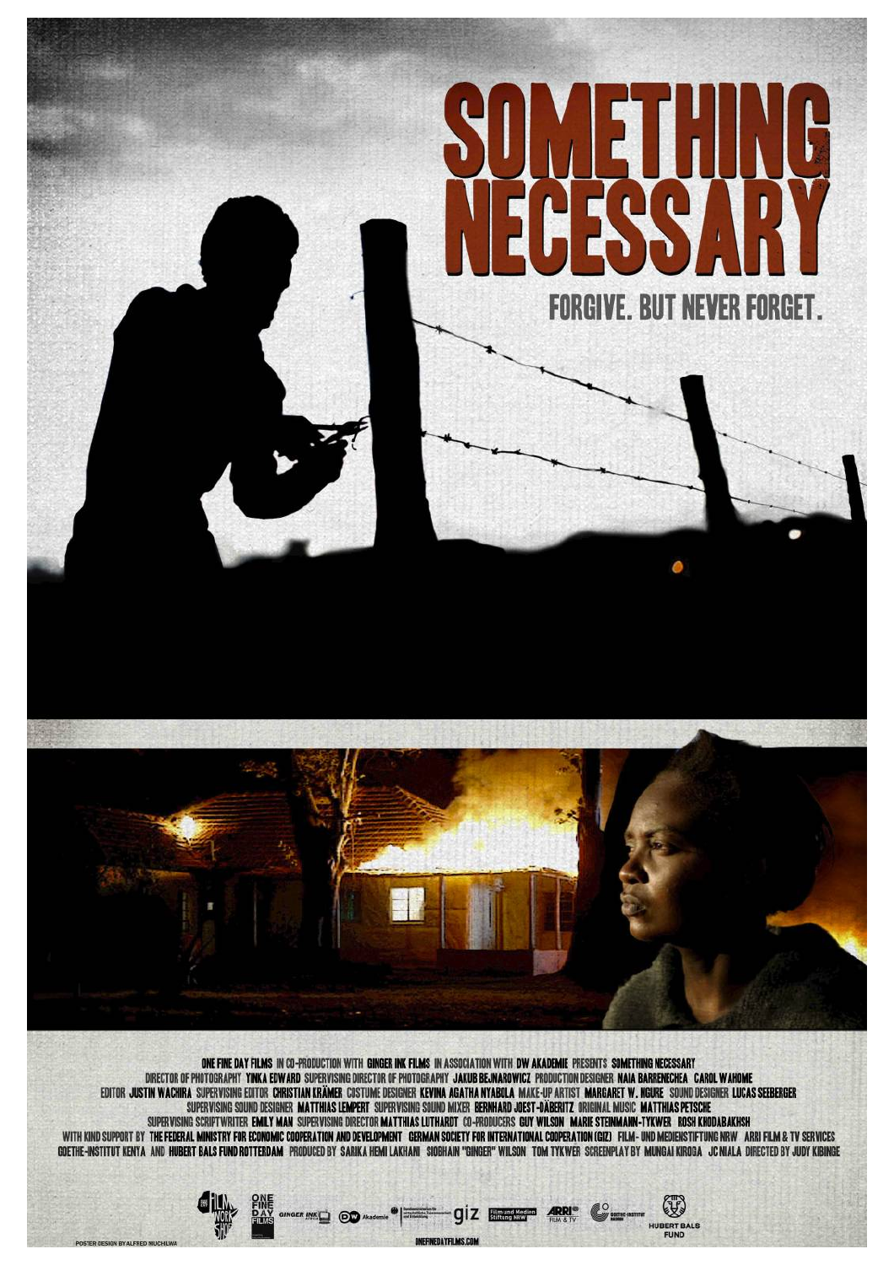

EDITOR JUSTIN WACHIRA SUPERVISING EDITOR CHRISTIAN KRÄMER COSTUME DESIGNER KEVINA AGATHA NYABOLA MAKE-UP ARTIST MARGARET W. NGURE SOUND DESIGNER LUCAS SEEBERGER SUPERVISING SOUND DESIGNER MATTHIAS LEMPERT SUPERVISING SOUND MIXER BERNHARD JOEST-DÄBERITZ ORIGINAL MUSIC MATTHIAS PETSCHE SUPERVISING SCRIPTWRITER EMILY MAN SUPERVISING DIRECTOR MATTHIAS LUTHARDT CO-PRODUCERS GUY WILSON MARIE STEINMANN-TYKWER ROSH KHODABAKHSH<br>GOETHE-INSTITUT KENTA AND HUBERT BALS FUND ROTTERDAM PRODUCED BY SARIKA HEMI LAKHANI

ONEFINEDAYFILMS.COM

**RINKO OD Akadema | Harry OIZ B** 

 $\mathbb{R}$ 

HUBERT BALS<br>FUND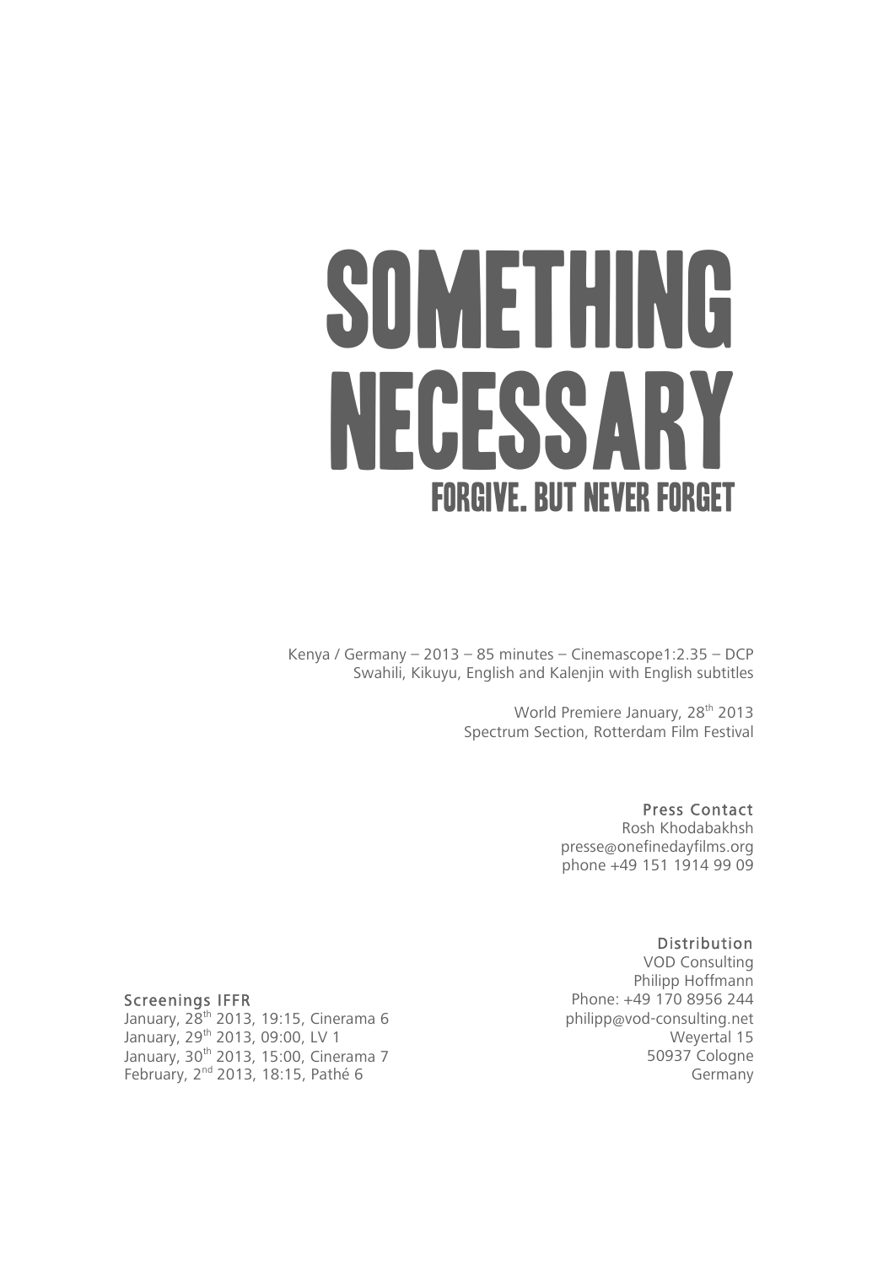# SOMETHING NECESSA FORGIVE. BUT NEVER FORGET

Kenya / Germany – 2013 – 85 minutes – Cinemascope1:2.35 – DCP Swahili, Kikuyu, English and Kalenjin with English subtitles

> World Premiere January, 28<sup>th</sup> 2013 Spectrum Section, Rotterdam Film Festival

> > Press Contact Rosh Khodabakhsh presse@onefinedayfilms.org phone +49 151 1914 99 09

Distribution VOD Consulting Philipp Hoffmann Phone: +49 170 8956 244 philipp@vod-consulting.net Weyertal 15 50937 Cologne Germany

#### Screenings IFFR

January, 28<sup>th</sup> 2013, 19:15, Cinerama 6 January, 29th 2013, 09:00, LV 1 January, 30<sup>th</sup> 2013, 15:00, Cinerama 7 February, 2<sup>nd</sup> 2013, 18:15, Pathé 6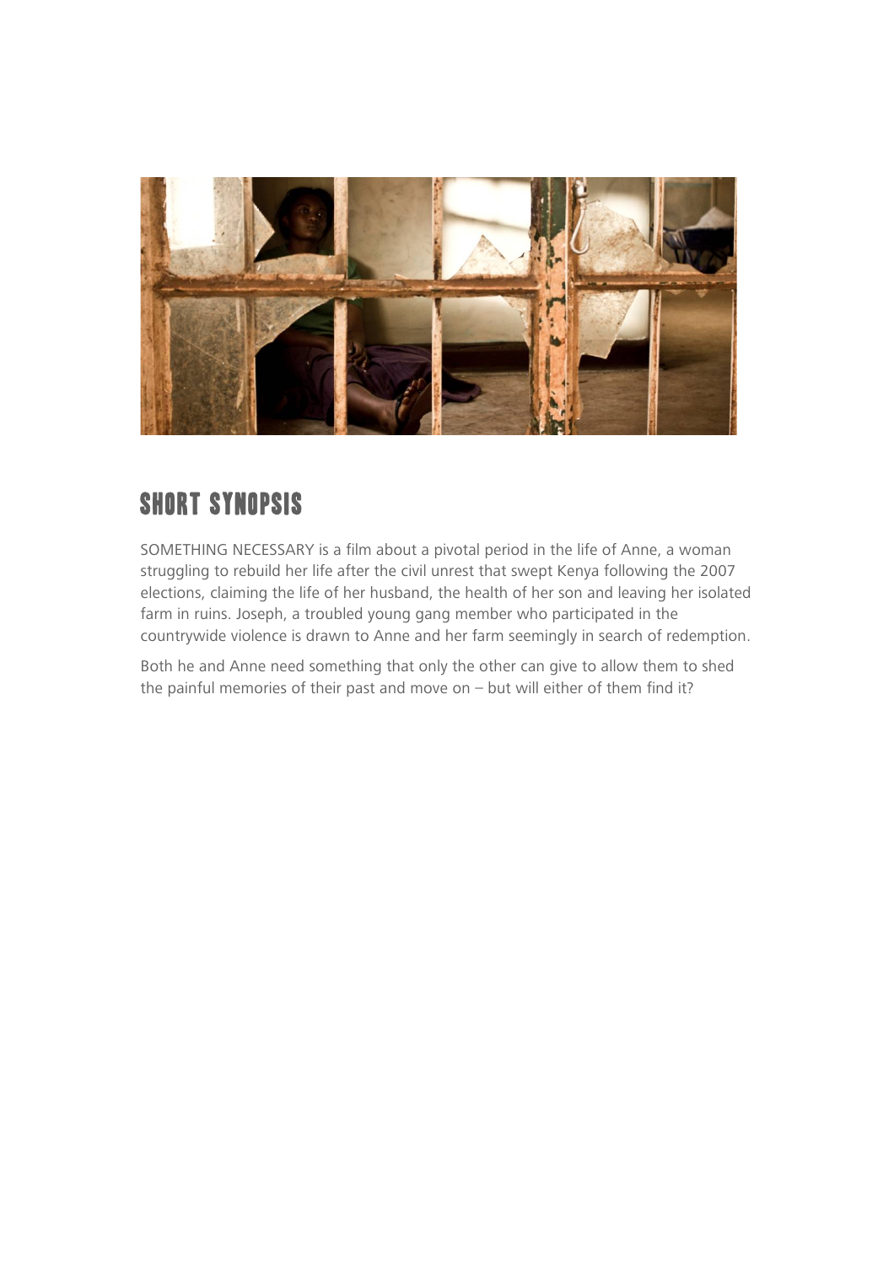

#### SHORT SYNOPSIS

SOMETHING NECESSARY is a film about a pivotal period in the life of Anne, a woman struggling to rebuild her life after the civil unrest that swept Kenya following the 2007 elections, claiming the life of her husband, the health of her son and leaving her isolated farm in ruins. Joseph, a troubled young gang member who participated in the countrywide violence is drawn to Anne and her farm seemingly in search of redemption.

Both he and Anne need something that only the other can give to allow them to shed the painful memories of their past and move on  $-$  but will either of them find it?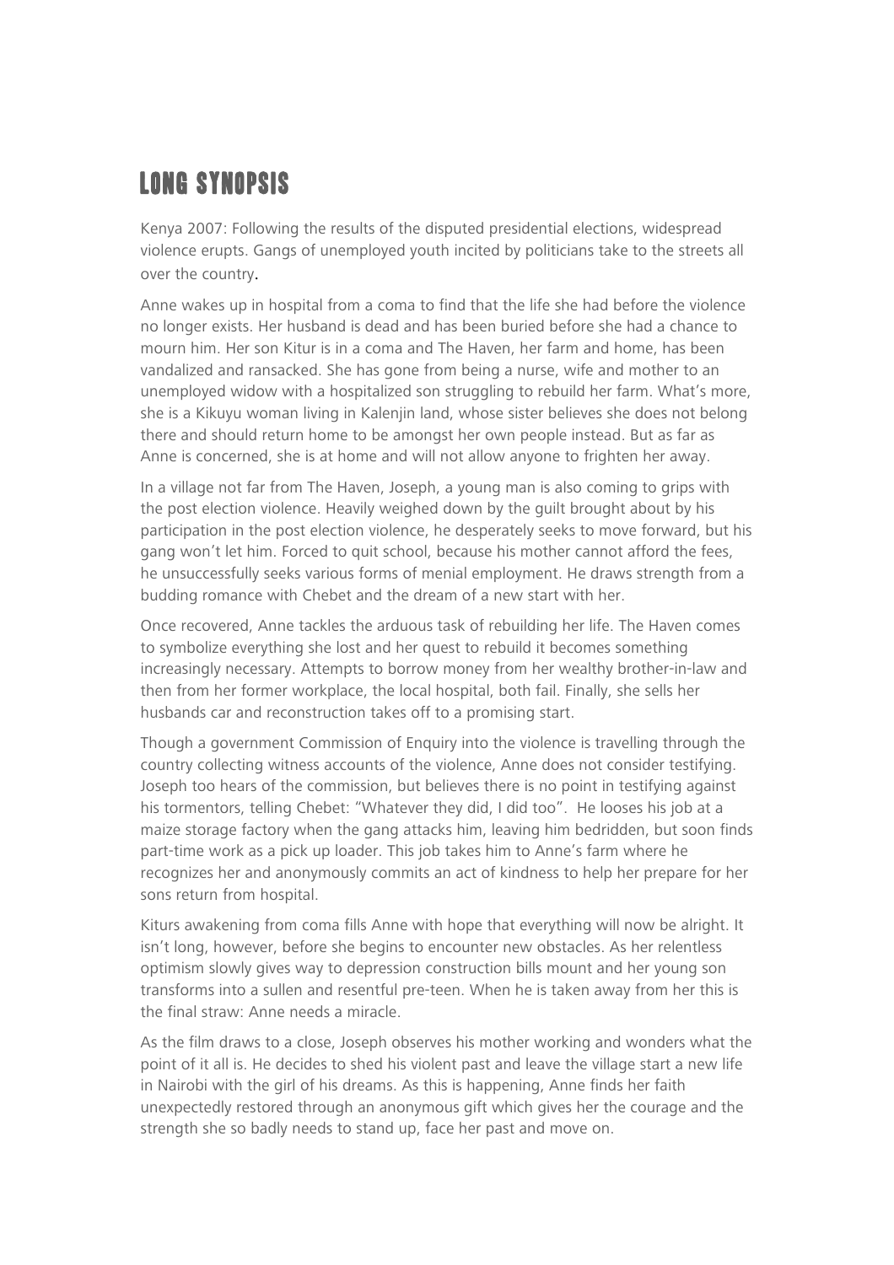## LONG SYNOPSIS

Kenya 2007: Following the results of the disputed presidential elections, widespread violence erupts. Gangs of unemployed youth incited by politicians take to the streets all over the country.

Anne wakes up in hospital from a coma to find that the life she had before the violence no longer exists. Her husband is dead and has been buried before she had a chance to mourn him. Her son Kitur is in a coma and The Haven, her farm and home, has been vandalized and ransacked. She has gone from being a nurse, wife and mother to an unemployed widow with a hospitalized son struggling to rebuild her farm. What's more, she is a Kikuyu woman living in Kalenjin land, whose sister believes she does not belong there and should return home to be amongst her own people instead. But as far as Anne is concerned, she is at home and will not allow anyone to frighten her away.

In a village not far from The Haven, Joseph, a young man is also coming to grips with the post election violence. Heavily weighed down by the guilt brought about by his participation in the post election violence, he desperately seeks to move forward, but his gang won't let him. Forced to quit school, because his mother cannot afford the fees, he unsuccessfully seeks various forms of menial employment. He draws strength from a budding romance with Chebet and the dream of a new start with her.

Once recovered, Anne tackles the arduous task of rebuilding her life. The Haven comes to symbolize everything she lost and her quest to rebuild it becomes something increasingly necessary. Attempts to borrow money from her wealthy brother-in-law and then from her former workplace, the local hospital, both fail. Finally, she sells her husbands car and reconstruction takes off to a promising start.

Though a government Commission of Enquiry into the violence is travelling through the country collecting witness accounts of the violence, Anne does not consider testifying. Joseph too hears of the commission, but believes there is no point in testifying against his tormentors, telling Chebet: "Whatever they did, I did too". He looses his job at a maize storage factory when the gang attacks him, leaving him bedridden, but soon finds part-time work as a pick up loader. This job takes him to Anne's farm where he recognizes her and anonymously commits an act of kindness to help her prepare for her sons return from hospital.

Kiturs awakening from coma fills Anne with hope that everything will now be alright. It isn't long, however, before she begins to encounter new obstacles. As her relentless optimism slowly gives way to depression construction bills mount and her young son transforms into a sullen and resentful pre-teen. When he is taken away from her this is the final straw: Anne needs a miracle.

As the film draws to a close, Joseph observes his mother working and wonders what the point of it all is. He decides to shed his violent past and leave the village start a new life in Nairobi with the girl of his dreams. As this is happening, Anne finds her faith unexpectedly restored through an anonymous gift which gives her the courage and the strength she so badly needs to stand up, face her past and move on.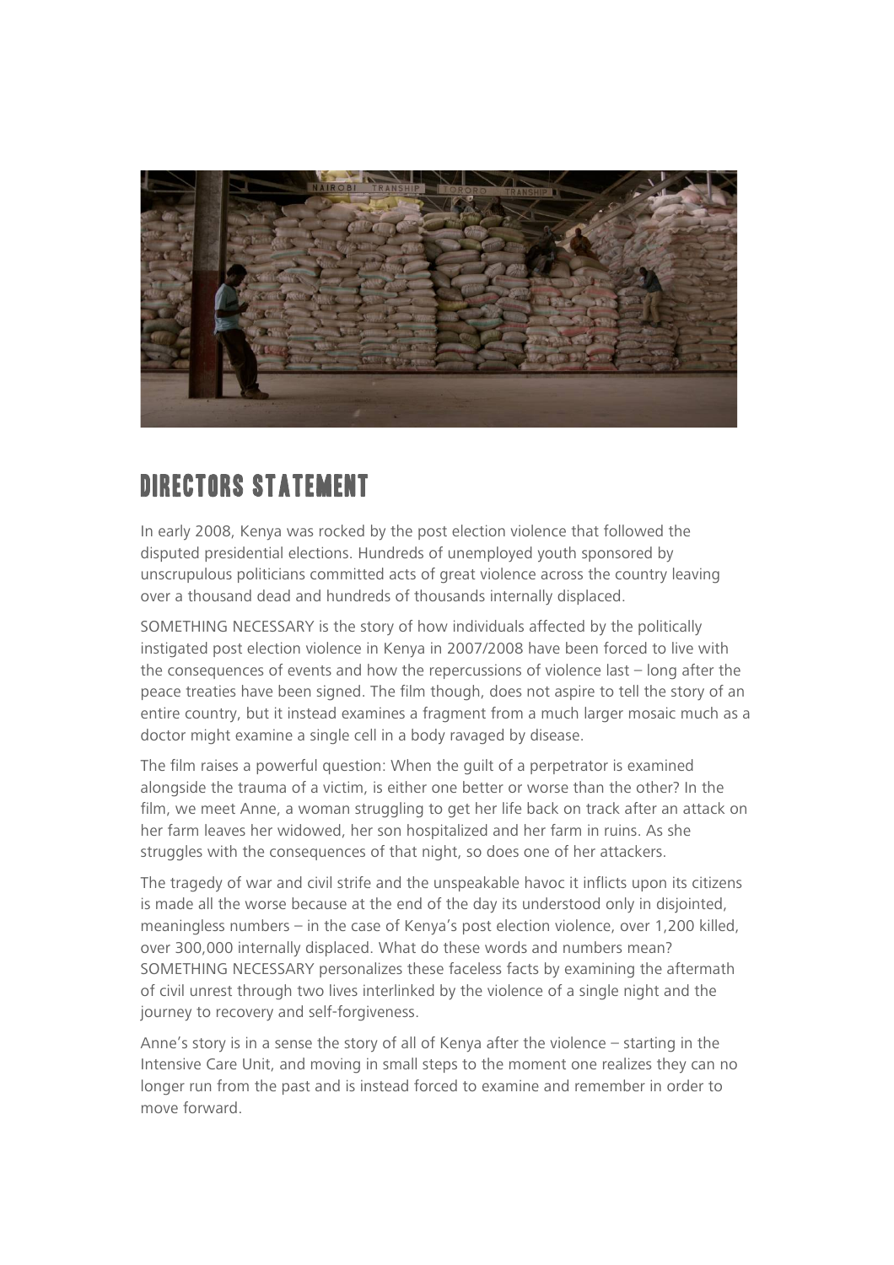

#### DIRECTORS STATEMENT

In early 2008, Kenya was rocked by the post election violence that followed the disputed presidential elections. Hundreds of unemployed youth sponsored by unscrupulous politicians committed acts of great violence across the country leaving over a thousand dead and hundreds of thousands internally displaced.

SOMETHING NECESSARY is the story of how individuals affected by the politically instigated post election violence in Kenya in 2007/2008 have been forced to live with the consequences of events and how the repercussions of violence last – long after the peace treaties have been signed. The film though, does not aspire to tell the story of an entire country, but it instead examines a fragment from a much larger mosaic much as a doctor might examine a single cell in a body ravaged by disease.

The film raises a powerful question: When the guilt of a perpetrator is examined alongside the trauma of a victim, is either one better or worse than the other? In the film, we meet Anne, a woman struggling to get her life back on track after an attack on her farm leaves her widowed, her son hospitalized and her farm in ruins. As she struggles with the consequences of that night, so does one of her attackers.

The tragedy of war and civil strife and the unspeakable havoc it inflicts upon its citizens is made all the worse because at the end of the day its understood only in disjointed, meaningless numbers – in the case of Kenya's post election violence, over 1,200 killed, over 300,000 internally displaced. What do these words and numbers mean? SOMETHING NECESSARY personalizes these faceless facts by examining the aftermath of civil unrest through two lives interlinked by the violence of a single night and the journey to recovery and self-forgiveness.

Anne's story is in a sense the story of all of Kenya after the violence – starting in the Intensive Care Unit, and moving in small steps to the moment one realizes they can no longer run from the past and is instead forced to examine and remember in order to move forward.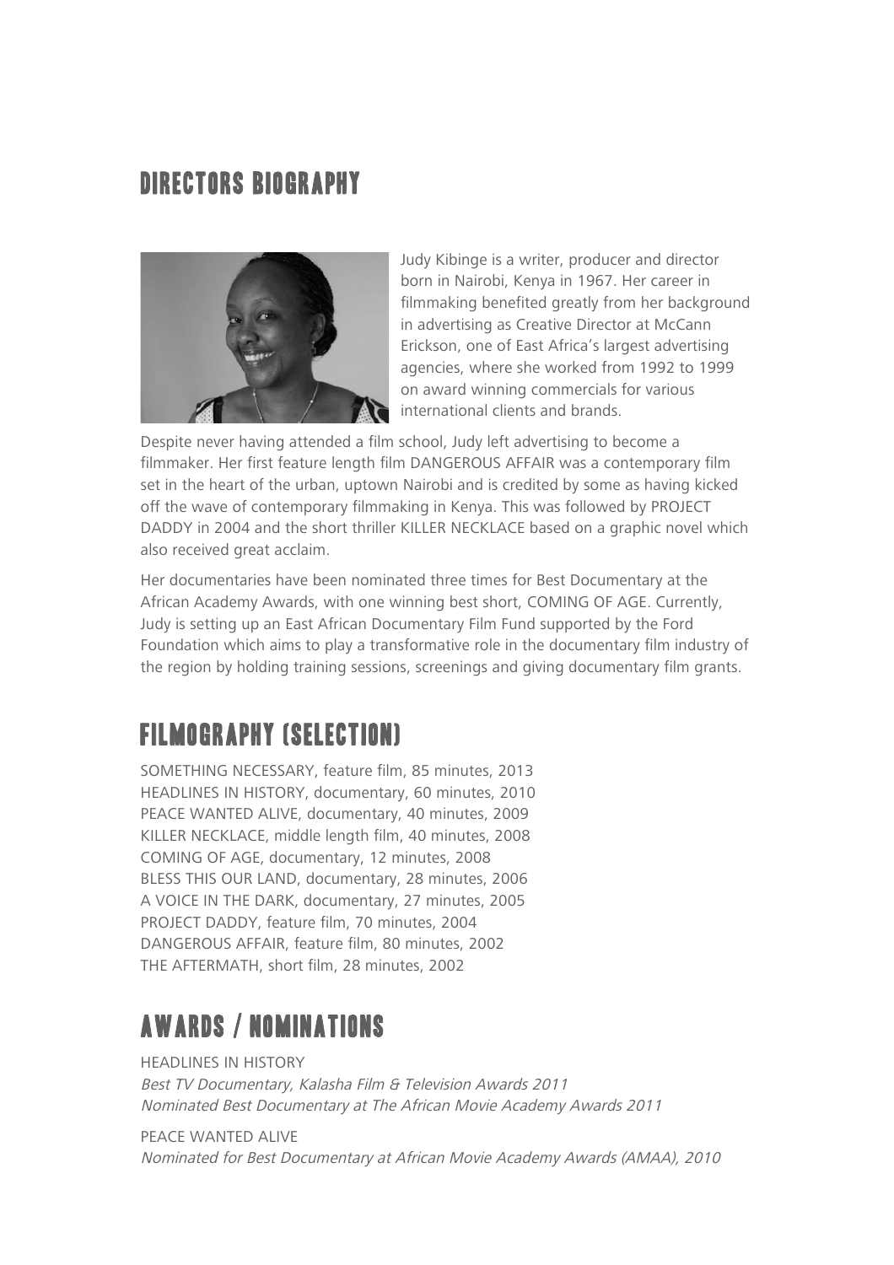#### DIRECTORS BIOGRAPHY



Judy Kibinge is a writer, producer and director born in Nairobi, Kenya in 1967. Her career in filmmaking benefited greatly from her background in advertising as Creative Director at McCann Erickson, one of East Africa's largest advertising agencies, where she worked from 1992 to 1999 on award winning commercials for various international clients and brands.

Despite never having attended a film school, Judy left advertising to become a filmmaker. Her first feature length film DANGEROUS AFFAIR was a contemporary film set in the heart of the urban, uptown Nairobi and is credited by some as having kicked off the wave of contemporary filmmaking in Kenya. This was followed by PROJECT DADDY in 2004 and the short thriller KILLER NECKLACE based on a graphic novel which also received great acclaim.

Her documentaries have been nominated three times for Best Documentary at the African Academy Awards, with one winning best short, COMING OF AGE. Currently, Judy is setting up an East African Documentary Film Fund supported by the Ford Foundation which aims to play a transformative role in the documentary film industry of the region by holding training sessions, screenings and giving documentary film grants.

# FILMOGRAPHY (Selection)

SOMETHING NECESSARY, feature film, 85 minutes, 2013 HEADLINES IN HISTORY, documentary, 60 minutes, 2010 PEACE WANTED ALIVE, documentary, 40 minutes, 2009 KILLER NECKLACE, middle length film, 40 minutes, 2008 COMING OF AGE, documentary, 12 minutes, 2008 BLESS THIS OUR LAND, documentary, 28 minutes, 2006 A VOICE IN THE DARK, documentary, 27 minutes, 2005 PROJECT DADDY, feature film, 70 minutes, 2004 DANGEROUS AFFAIR, feature film, 80 minutes, 2002 THE AFTERMATH, short film, 28 minutes, 2002

### AWARDS / NOMINATIONS

HEADLINES IN HISTORY Best TV Documentary, Kalasha Film & Television Awards 2011 Nominated Best Documentary at The African Movie Academy Awards 2011

PEACE WANTED ALIVE Nominated for Best Documentary at African Movie Academy Awards (AMAA), 2010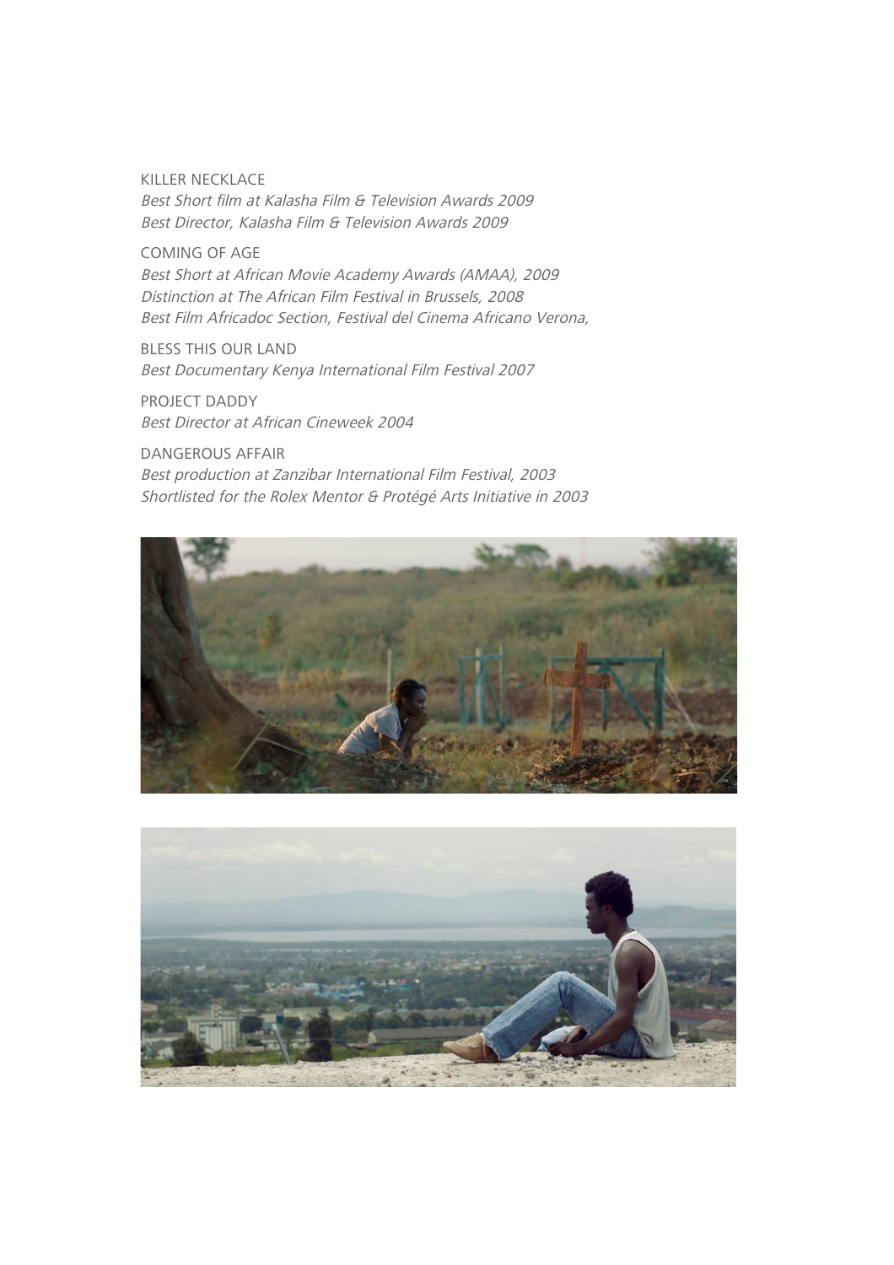KILLER NECKLACE Best Short film at Kalasha Film & Television Awards 2009 Best Director, Kalasha Film & Television Awards 2009

COMING OF AGE Best Short at African Movie Academy Awards (AMAA), 2009 Distinction at The African Film Festival in Brussels, 2008 Best Film Africadoc Section, Festival del Cinema Africano Verona,

BLESS THIS OUR LAND Best Documentary Kenya International Film Festival 2007

PROJECT DADDY Best Director at African Cineweek 2004

DANGEROUS AFFAIR Best production at Zanzibar International Film Festival, 2003 Shortlisted for the Rolex Mentor & Protégé Arts Initiative in 2003



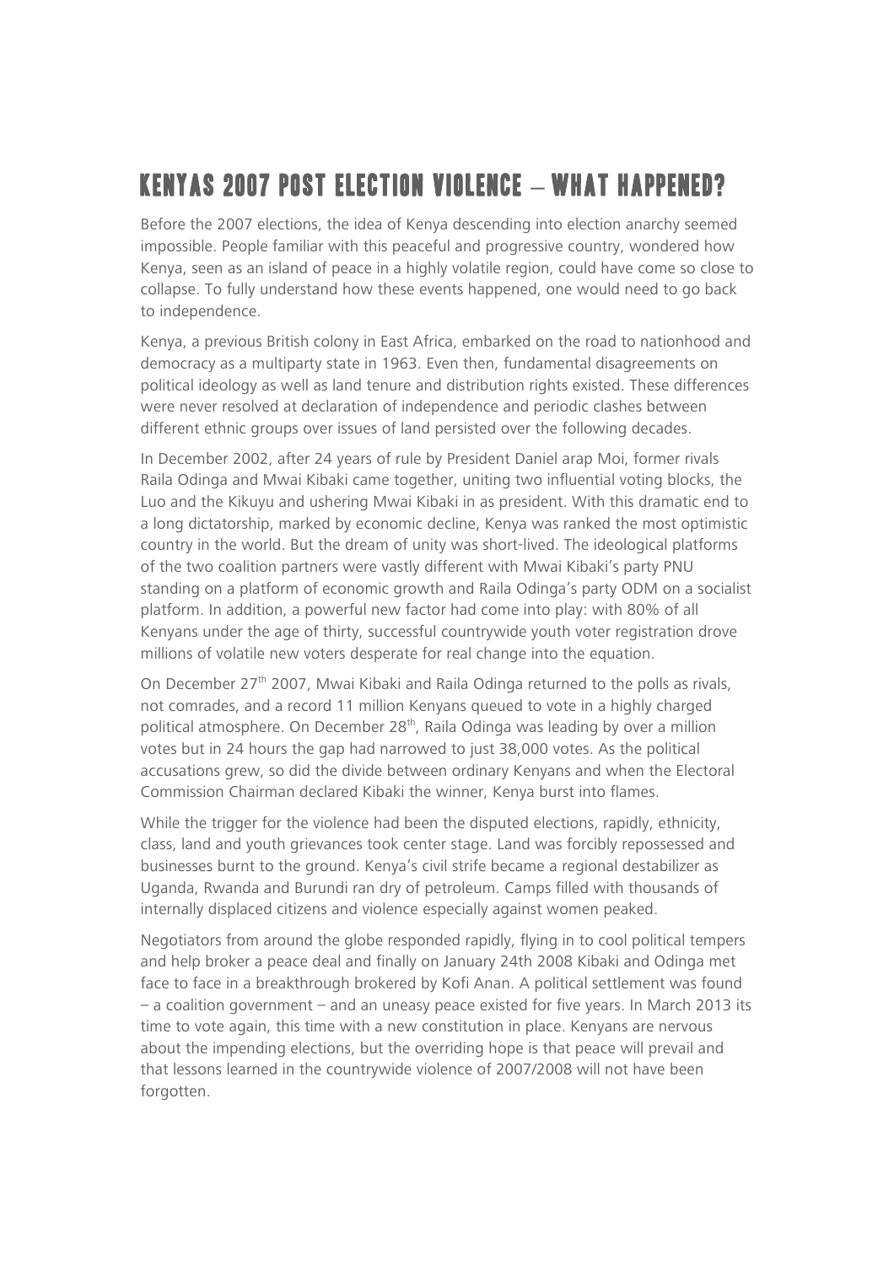# KENYAS 2007 POST ELECTION VIOLENCE **–** WHAT HAPPENED?

Before the 2007 elections, the idea of Kenya descending into election anarchy seemed impossible. People familiar with this peaceful and progressive country, wondered how Kenya, seen as an island of peace in a highly volatile region, could have come so close to collapse. To fully understand how these events happened, one would need to go back to independence.

Kenya, a previous British colony in East Africa, embarked on the road to nationhood and democracy as a multiparty state in 1963. Even then, fundamental disagreements on political ideology as well as land tenure and distribution rights existed. These differences were never resolved at declaration of independence and periodic clashes between different ethnic groups over issues of land persisted over the following decades.

In December 2002, after 24 years of rule by President Daniel arap Moi, former rivals Raila Odinga and Mwai Kibaki came together, uniting two influential voting blocks, the Luo and the Kikuyu and ushering Mwai Kibaki in as president. With this dramatic end to a long dictatorship, marked by economic decline, Kenya was ranked the most optimistic country in the world. But the dream of unity was short-lived. The ideological platforms of the two coalition partners were vastly different with Mwai Kibaki's party PNU standing on a platform of economic growth and Raila Odinga's party ODM on a socialist platform. In addition, a powerful new factor had come into play: with 80% of all Kenyans under the age of thirty, successful countrywide youth voter registration drove millions of volatile new voters desperate for real change into the equation.

On December 27<sup>th</sup> 2007, Mwai Kibaki and Raila Odinga returned to the polls as rivals, not comrades, and a record 11 million Kenyans queued to vote in a highly charged political atmosphere. On December 28<sup>th</sup>, Raila Odinga was leading by over a million votes but in 24 hours the gap had narrowed to just 38,000 votes. As the political accusations grew, so did the divide between ordinary Kenyans and when the Electoral Commission Chairman declared Kibaki the winner, Kenya burst into flames.

While the trigger for the violence had been the disputed elections, rapidly, ethnicity, class, land and youth grievances took center stage. Land was forcibly repossessed and businesses burnt to the ground. Kenya's civil strife became a regional destabilizer as Uganda, Rwanda and Burundi ran dry of petroleum. Camps filled with thousands of internally displaced citizens and violence especially against women peaked.

Negotiators from around the globe responded rapidly, flying in to cool political tempers and help broker a peace deal and finally on January 24th 2008 Kibaki and Odinga met face to face in a breakthrough brokered by Kofi Anan. A political settlement was found – a coalition government – and an uneasy peace existed for five years. In March 2013 its time to vote again, this time with a new constitution in place. Kenyans are nervous about the impending elections, but the overriding hope is that peace will prevail and that lessons learned in the countrywide violence of 2007/2008 will not have been forgotten.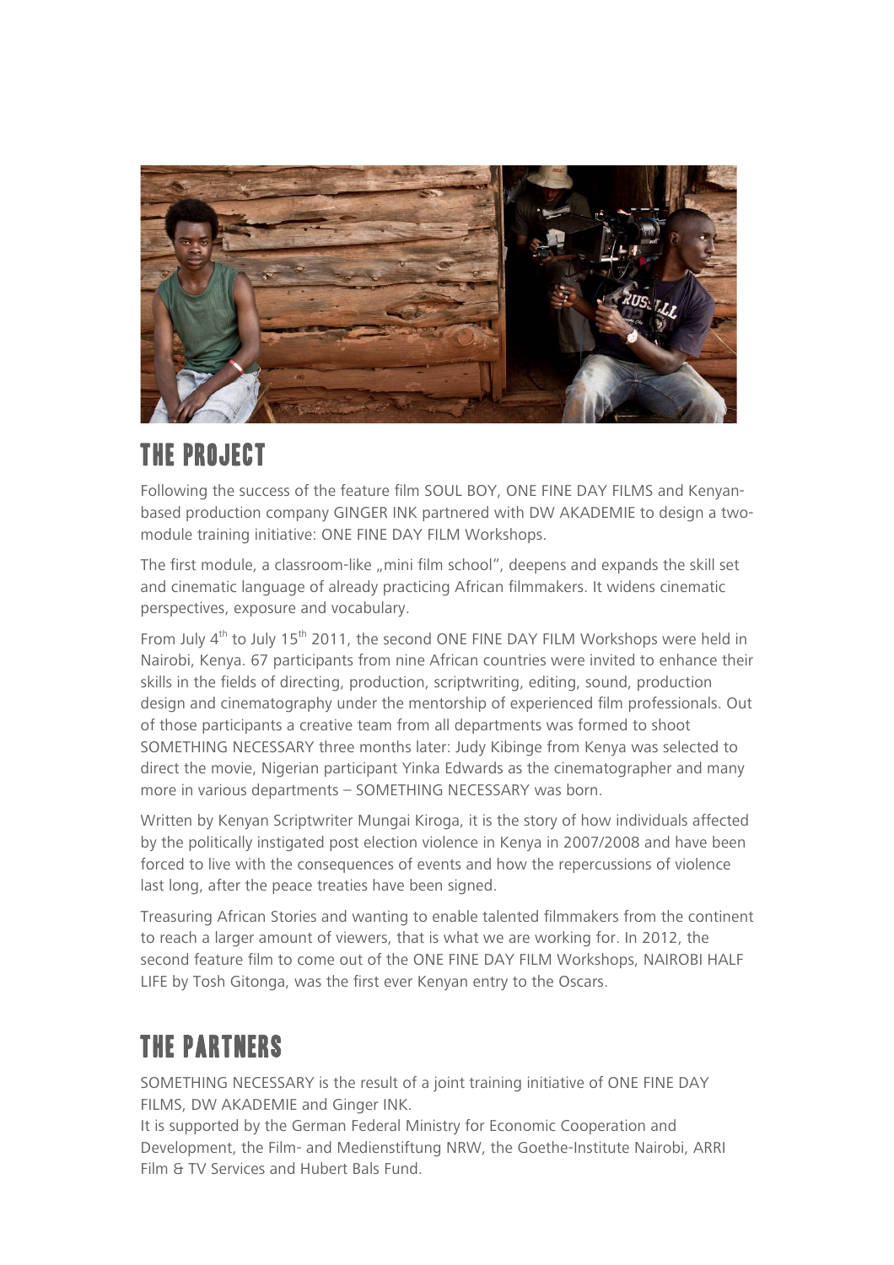

## THE PROJECT

Following the success of the feature film SOUL BOY, ONE FINE DAY FILMS and Kenyanbased production company GINGER INK partnered with DW AKADEMIE to design a twomodule training initiative: ONE FINE DAY FILM Workshops.

The first module, a classroom-like "mini film school", deepens and expands the skill set and cinematic language of already practicing African filmmakers. It widens cinematic perspectives, exposure and vocabulary.

From July  $4<sup>th</sup>$  to July 15<sup>th</sup> 2011, the second ONE FINE DAY FILM Workshops were held in Nairobi, Kenya. 67 participants from nine African countries were invited to enhance their skills in the fields of directing, production, scriptwriting, editing, sound, production design and cinematography under the mentorship of experienced film professionals. Out of those participants a creative team from all departments was formed to shoot SOMETHING NECESSARY three months later: Judy Kibinge from Kenya was selected to direct the movie, Nigerian participant Yinka Edwards as the cinematographer and many more in various departments – SOMETHING NECESSARY was born.

Written by Kenyan Scriptwriter Mungai Kiroga, it is the story of how individuals affected by the politically instigated post election violence in Kenya in 2007/2008 and have been forced to live with the consequences of events and how the repercussions of violence last long, after the peace treaties have been signed.

Treasuring African Stories and wanting to enable talented filmmakers from the continent to reach a larger amount of viewers, that is what we are working for. In 2012, the second feature film to come out of the ONE FINE DAY FILM Workshops, NAIROBI HALF LIFE by Tosh Gitonga, was the first ever Kenyan entry to the Oscars.

# THE PARTNERS

SOMETHING NECESSARY is the result of a joint training initiative of ONE FINE DAY FILMS, DW AKADEMIE and Ginger INK.

It is supported by the German Federal Ministry for Economic Cooperation and Development, the Film- and Medienstiftung NRW, the Goethe-Institute Nairobi, ARRI Film & TV Services and Hubert Bals Fund.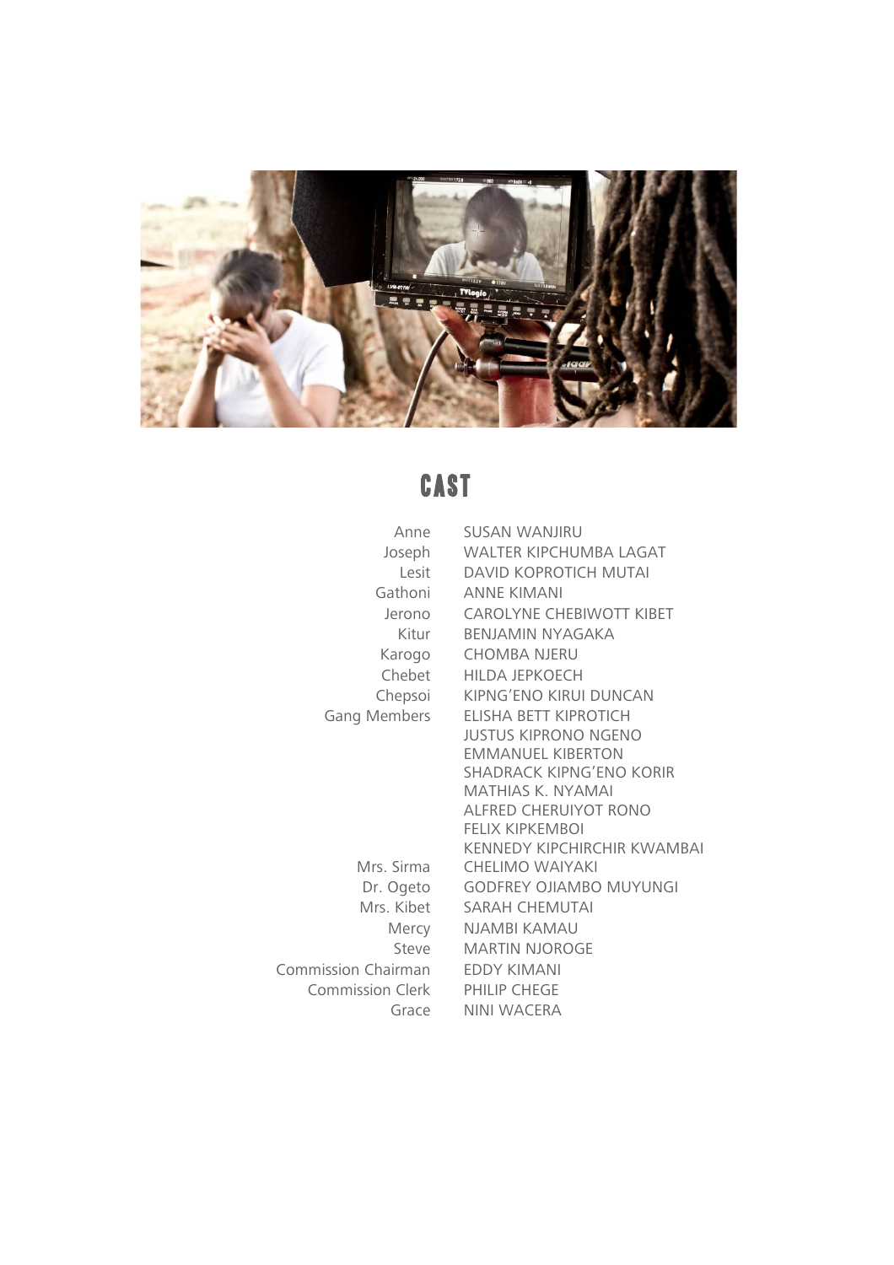

# **CAST**

| SUSAN WANJIRU                        |
|--------------------------------------|
| Joseph WALTER KIPCHUMBA LAGAT        |
| DAVID KOPROTICH MUTAI<br>Lesit       |
| Gathoni ANNE KIMANI                  |
| Jerono CAROLYNE CHEBIWOTT KIBET      |
| Kitur BENJAMIN NYAGAKA               |
| Karogo CHOMBA NJERU                  |
| Chebet HILDA JEPKOECH                |
| Chepsoi KIPNG'ENO KIRUI DUNCAN       |
| Gang Members ELISHA BETT KIPROTICH   |
| <b>JUSTUS KIPRONO NGENO</b>          |
| <b>EMMANUEL KIBERTON</b>             |
| SHADRACK KIPNG'ENO KORIR             |
| MATHIAS K. NYAMAI                    |
| ALFRED CHERUIYOT RONO                |
| <b>FELIX KIPKEMBOI</b>               |
| KENNEDY KIPCHIRCHIR KWAMBAI          |
| Mrs. Sirma<br><b>CHELIMO WAIYAKI</b> |
| Dr. Ogeto GODFREY OJIAMBO MUYUNGI    |
| Mrs. Kibet SARAH CHEMUTAI            |
| Mercy NJAMBI KAMAU                   |
| Steve MARTIN NJOROGE                 |
| Commission Chairman EDDY KIMANI      |
| Commission Clerk PHILIP CHEGE        |
| Grace NINI WACERA                    |
|                                      |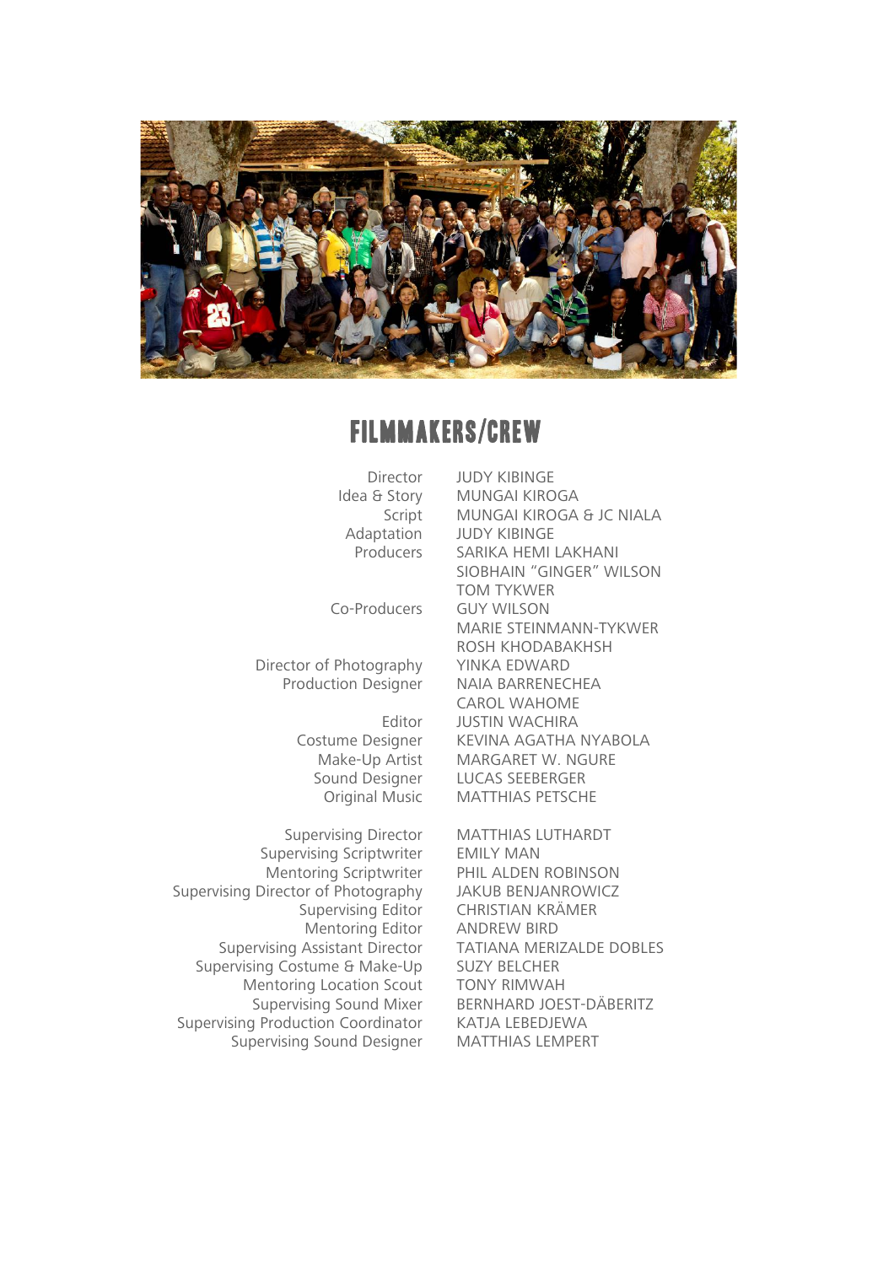

#### FILMMAKERS/CREW

Director JUDY KIBINGE

Director of Photography YINKA EDWARD

Supervising Director MATTHIAS LUTHARDT Supervising Scriptwriter EMILY MAN Supervising Director of Photography JAKUB BENJANROWICZ Supervising Assistant Director Supervising Costume & Make-Up SUZY BELCHER Mentoring Location Scout TONY RIMWAH Supervising Production Coordinator KATJA LEBEDJEWA Supervising Sound Designer MATTHIAS LEMPERT

Idea & Story MUNGAI KIROGA Script MUNGAI KIROGA & JC NIALA Adaptation JUDY KIBINGE Producers SARIKA HEMI LAKHANI SIOBHAIN "GINGER" WILSON TOM TYKWER Co-Producers GUY WILSON MARIE STEINMANN-TYKWER ROSH KHODABAKHSH Production Designer NAIA BARRENECHEA CAROL WAHOME Editor JUSTIN WACHIRA Costume Designer KEVINA AGATHA NYABOLA Make-Up Artist MARGARET W. NGURE Sound Designer LUCAS SEEBERGER Original Music MATTHIAS PETSCHE

Mentoring Scriptwriter PHIL ALDEN ROBINSON Supervising Editor CHRISTIAN KRÄMER Mentoring Editor ANDREW BIRD<br>Assistant Director TATIANA MERIZALDE DOBLES Supervising Sound Mixer BERNHARD JOEST-DÄBERITZ